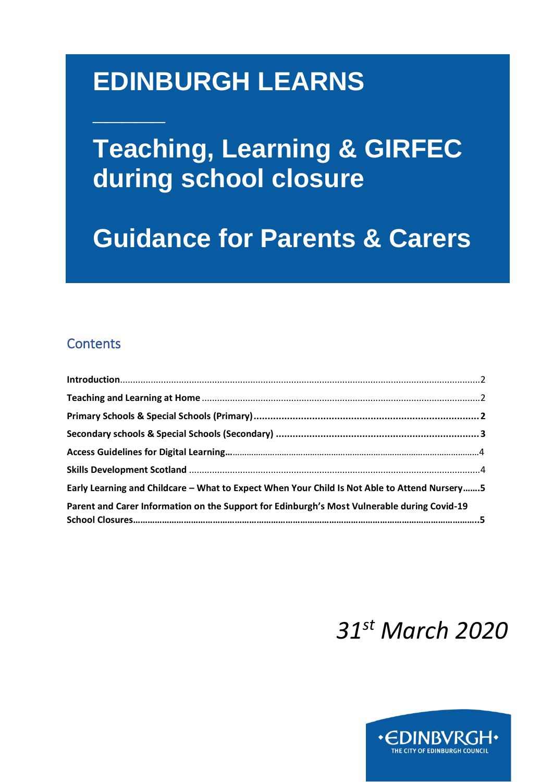# **EDINBURGH LEARNS**

**Teaching, Learning & GIRFEC during school closure**

**Guidance for Parents & Carers**

# **Contents**

**\_\_\_\_\_**

| Early Learning and Childcare - What to Expect When Your Child Is Not Able to Attend Nursery5 |  |
|----------------------------------------------------------------------------------------------|--|
| Parent and Carer Information on the Support for Edinburgh's Most Vulnerable during Covid-19  |  |

# *31st March 2020*

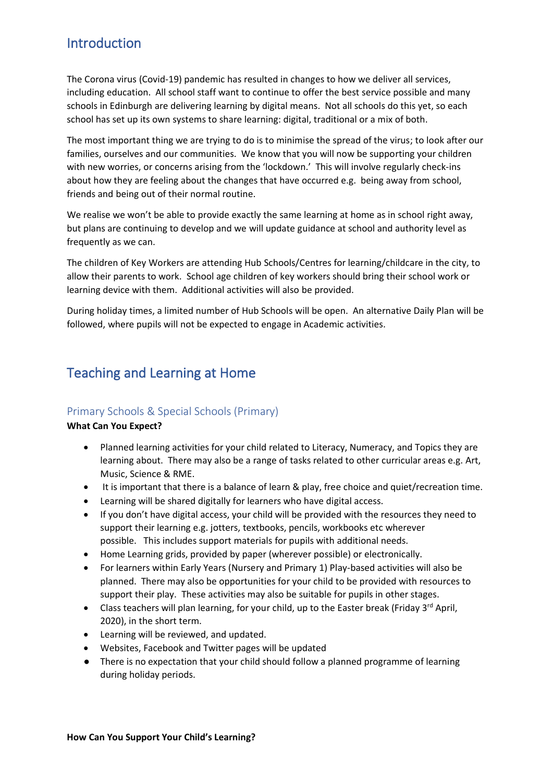## <span id="page-1-0"></span>Introduction

The Corona virus (Covid-19) pandemic has resulted in changes to how we deliver all services, including education. All school staff want to continue to offer the best service possible and many schools in Edinburgh are delivering learning by digital means. Not all schools do this yet, so each school has set up its own systems to share learning: digital, traditional or a mix of both.

The most important thing we are trying to do is to minimise the spread of the virus; to look after our families, ourselves and our communities. We know that you will now be supporting your children with new worries, or concerns arising from the 'lockdown.' This will involve regularly check-ins about how they are feeling about the changes that have occurred e.g. being away from school, friends and being out of their normal routine.

We realise we won't be able to provide exactly the same learning at home as in school right away, but plans are continuing to develop and we will update guidance at school and authority level as frequently as we can.

The children of Key Workers are attending Hub Schools/Centres for learning/childcare in the city, to allow their parents to work. School age children of key workers should bring their school work or learning device with them. Additional activities will also be provided.

During holiday times, a limited number of Hub Schools will be open. An alternative Daily Plan will be followed, where pupils will not be expected to engage in Academic activities.

## <span id="page-1-1"></span>Teaching and Learning at Home

## <span id="page-1-2"></span>Primary Schools & Special Schools (Primary)

## **What Can You Expect?**

- Planned learning activities for your child related to Literacy, Numeracy, and Topics they are learning about. There may also be a range of tasks related to other curricular areas e.g. Art, Music, Science & RME.
- It is important that there is a balance of learn & play, free choice and quiet/recreation time.
- Learning will be shared digitally for learners who have digital access.
- If you don't have digital access, your child will be provided with the resources they need to support their learning e.g. jotters, textbooks, pencils, workbooks etc wherever possible. This includes support materials for pupils with additional needs.
- Home Learning grids, provided by paper (wherever possible) or electronically.
- For learners within Early Years (Nursery and Primary 1) Play-based activities will also be planned. There may also be opportunities for your child to be provided with resources to support their play. These activities may also be suitable for pupils in other stages.
- Class teachers will plan learning, for your child, up to the Easter break (Friday 3<sup>rd</sup> April, 2020), in the short term.
- Learning will be reviewed, and updated.
- Websites, Facebook and Twitter pages will be updated
- There is no expectation that your child should follow a planned programme of learning during holiday periods.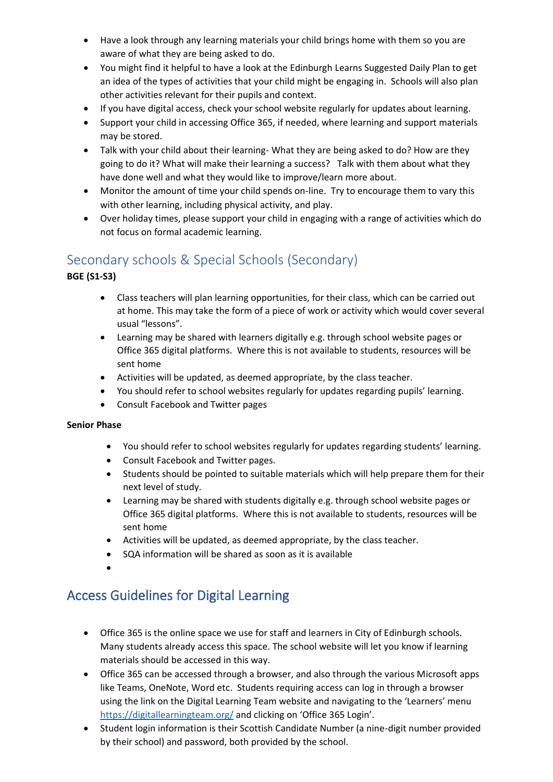- Have a look through any learning materials your child brings home with them so you are aware of what they are being asked to do.
- You might find it helpful to have a look at the Edinburgh Learns Suggested Daily Plan to get an idea of the types of activities that your child might be engaging in. Schools will also plan other activities relevant for their pupils and context.
- If you have digital access, check your school website regularly for updates about learning.
- Support your child in accessing Office 365, if needed, where learning and support materials may be stored.
- Talk with your child about their learning- What they are being asked to do? How are they going to do it? What will make their learning a success? Talk with them about what they have done well and what they would like to improve/learn more about.
- Monitor the amount of time your child spends on-line. Try to encourage them to vary this with other learning, including physical activity, and play.
- Over holiday times, please support your child in engaging with a range of activities which do not focus on formal academic learning.

## <span id="page-2-0"></span>Secondary schools & Special Schools (Secondary)

## **BGE (S1-S3)**

- Class teachers will plan learning opportunities, for their class, which can be carried out at home. This may take the form of a piece of work or activity which would cover several usual "lessons".
- Learning may be shared with learners digitally e.g. through school website pages or Office 365 digital platforms. Where this is not available to students, resources will be sent home
- Activities will be updated, as deemed appropriate, by the class teacher.
- You should refer to school websites regularly for updates regarding pupils' learning.
- Consult Facebook and Twitter pages

## **Senior Phase**

- You should refer to school websites regularly for updates regarding students' learning.
- Consult Facebook and Twitter pages.
- Students should be pointed to suitable materials which will help prepare them for their next level of study.
- Learning may be shared with students digitally e.g. through school website pages or Office 365 digital platforms. Where this is not available to students, resources will be sent home
- Activities will be updated, as deemed appropriate, by the class teacher.
- SQA information will be shared as soon as it is available
- •

## Access Guidelines for Digital Learning

- Office 365 is the online space we use for staff and learners in City of Edinburgh schools. Many students already access this space. The school website will let you know if learning materials should be accessed in this way.
- Office 365 can be accessed through a browser, and also through the various Microsoft apps like Teams, OneNote, Word etc. Students requiring access can log in through a browser using the link on the Digital Learning Team website and navigating to the 'Learners' menu <https://digitallearningteam.org/> and clicking on 'Office 365 Login'.
- Student login information is their Scottish Candidate Number (a nine-digit number provided by their school) and password, both provided by the school.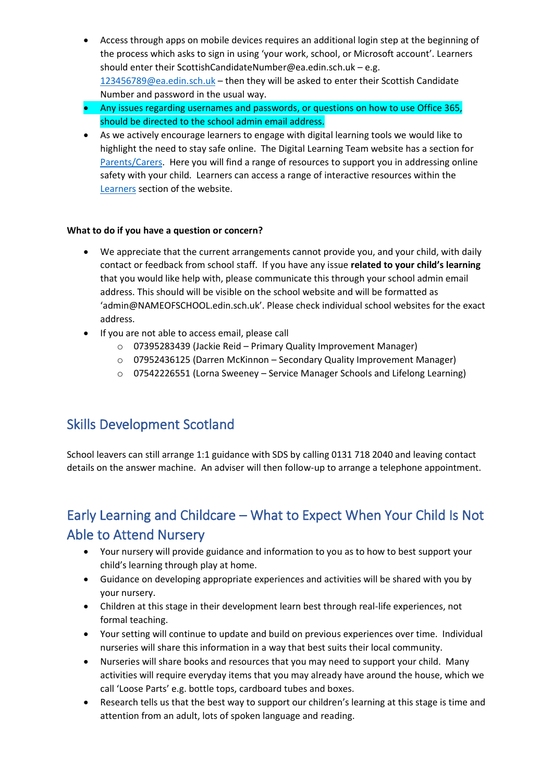- Access through apps on mobile devices requires an additional login step at the beginning of the process which asks to sign in using 'your work, school, or Microsoft account'. Learners should enter their ScottishCandidat[eNumber@ea.edin.sch.uk](mailto:Number@ea.edin.sch.uk) – e.g. [123456789@ea.edin.sch.uk](mailto:123456789@ea.edin.sch.uk) – then they will be asked to enter their Scottish Candidate Number and password in the usual way.
- Any issues regarding usernames and passwords, or questions on how to use Office 365, should be directed to the school admin email address.
- As we actively encourage learners to engage with digital learning tools we would like to highlight the need to stay safe online. The Digital Learning Team website has a section for [Parents/Carers.](https://digitallearningteam.org/parents-carers/) Here you will find a range of resources to support you in addressing online safety with your child. Learners can access a range of interactive resources within the [Learners](https://digitallearningteam.org/digital-safety-websites/) section of the website.

#### **What to do if you have a question or concern?**

- We appreciate that the current arrangements cannot provide you, and your child, with daily contact or feedback from school staff. If you have any issue **related to your child's learning** that you would like help with, please communicate this through your school admin email address. This should will be visible on the school website and will be formatted as 'admin@NAMEOFSCHOOL.edin.sch.uk'. Please check individual school websites for the exact address.
- If you are not able to access email, please call
	- o 07395283439 (Jackie Reid Primary Quality Improvement Manager)
	- o 07952436125 (Darren McKinnon Secondary Quality Improvement Manager)
	- o 07542226551 (Lorna Sweeney Service Manager Schools and Lifelong Learning)

## <span id="page-3-0"></span>Skills Development Scotland

School leavers can still arrange 1:1 guidance with SDS by calling 0131 718 2040 and leaving contact details on the answer machine. An adviser will then follow-up to arrange a telephone appointment.

## Early Learning and Childcare – What to Expect When Your Child Is Not Able to Attend Nursery

- Your nursery will provide guidance and information to you as to how to best support your child's learning through play at home.
- Guidance on developing appropriate experiences and activities will be shared with you by your nursery.
- Children at this stage in their development learn best through real-life experiences, not formal teaching.
- Your setting will continue to update and build on previous experiences over time. Individual nurseries will share this information in a way that best suits their local community.
- Nurseries will share books and resources that you may need to support your child. Many activities will require everyday items that you may already have around the house, which we call 'Loose Parts' e.g. bottle tops, cardboard tubes and boxes.
- Research tells us that the best way to support our children's learning at this stage is time and attention from an adult, lots of spoken language and reading.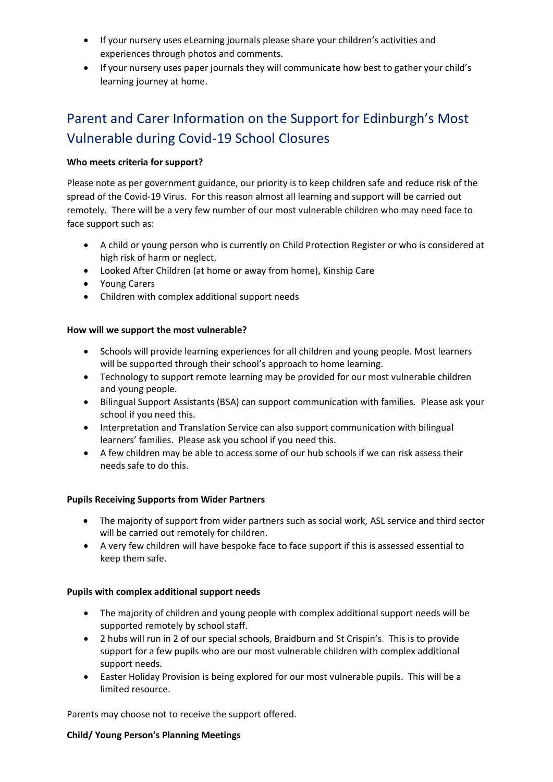- If your nursery uses eLearning journals please share your children's activities and experiences through photos and comments.
- If your nursery uses paper journals they will communicate how best to gather your child's learning journey at home.

# Parent and Carer Information on the Support for Edinburgh's Most Vulnerable during Covid-19 School Closures

## **Who meets criteria for support?**

Please note as per government guidance, our priority is to keep children safe and reduce risk of the spread of the Covid-19 Virus. For this reason almost all learning and support will be carried out remotely. There will be a very few number of our most vulnerable children who may need face to face support such as:

- A child or young person who is currently on Child Protection Register or who is considered at high risk of harm or neglect.
- Looked After Children (at home or away from home), Kinship Care
- Young Carers
- Children with complex additional support needs

## **How will we support the most vulnerable?**

- Schools will provide learning experiences for all children and young people. Most learners will be supported through their school's approach to home learning.
- Technology to support remote learning may be provided for our most vulnerable children and young people.
- Bilingual Support Assistants (BSA) can support communication with families. Please ask your school if you need this.
- Interpretation and Translation Service can also support communication with bilingual learners' families. Please ask you school if you need this.
- A few children may be able to access some of our hub schools if we can risk assess their needs safe to do this.

## **Pupils Receiving Supports from Wider Partners**

- The majority of support from wider partners such as social work, ASL service and third sector will be carried out remotely for children.
- A very few children will have bespoke face to face support if this is assessed essential to keep them safe.

## **Pupils with complex additional support needs**

- The majority of children and young people with complex additional support needs will be supported remotely by school staff.
- 2 hubs will run in 2 of our special schools, Braidburn and St Crispin's. This is to provide support for a few pupils who are our most vulnerable children with complex additional support needs.
- Easter Holiday Provision is being explored for our most vulnerable pupils. This will be a limited resource.

Parents may choose not to receive the support offered.

## **Child/ Young Person's Planning Meetings**